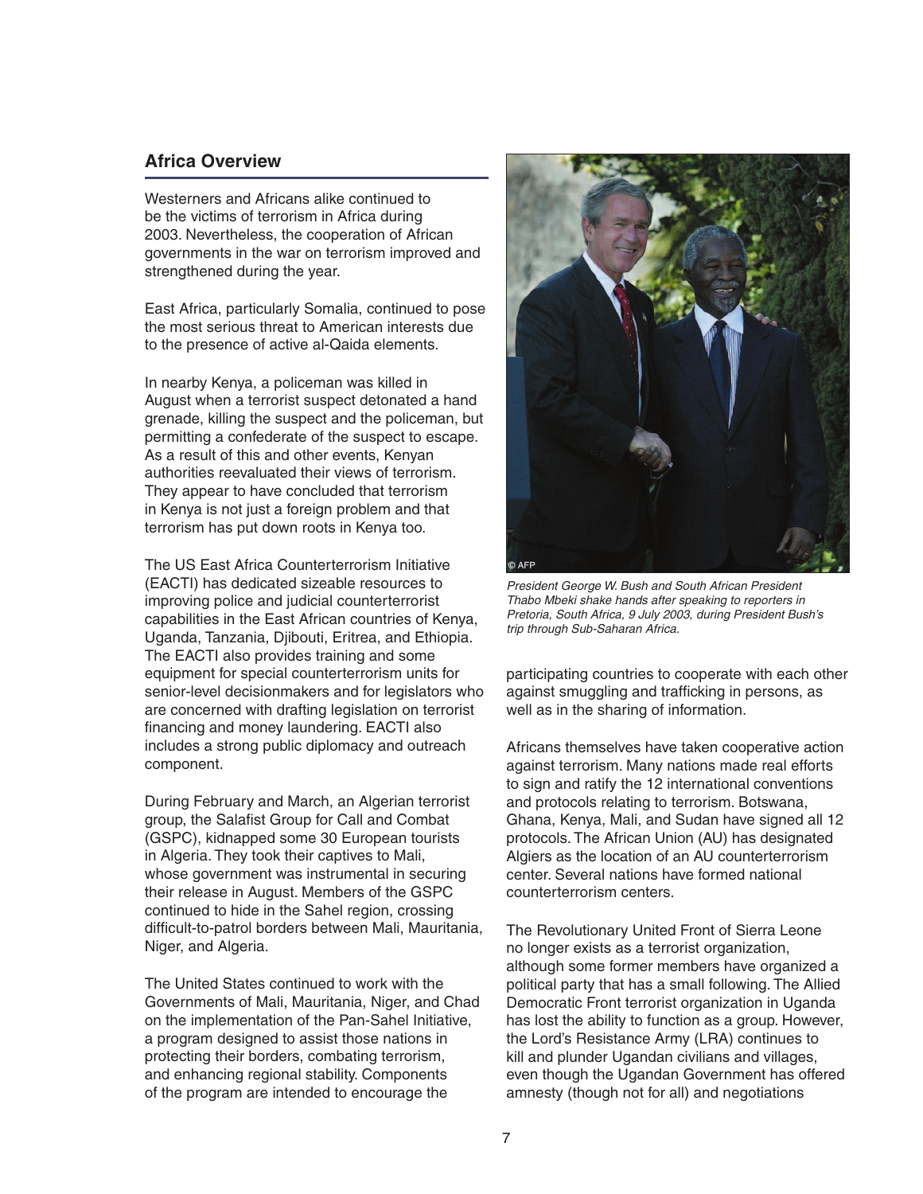#### **Africa Overview**

Westerners and Africans alike continued to be the victims of terrorism in Africa during 2003. Nevertheless, the cooperation of African governments in the war on terrorism improved and strengthened during the year.

East Africa, particularly Somalia, continued to pose the most serious threat to American interests due to the presence of active al-Qaida elements.

In nearby Kenya, a policeman was killed in August when a terrorist suspect detonated a hand grenade, killing the suspect and the policeman, but permitting a confederate of the suspect to escape. As a result of this and other events, Kenyan authorities reevaluated their views of terrorism. They appear to have concluded that terrorism in Kenya is not just a foreign problem and that terrorism has put down roots in Kenya too.

The US East Africa Counterterrorism Initiative (EACTI) has dedicated sizeable resources to improving police and judicial counterterrorist capabilities in the East African countries of Kenya, Uganda, Tanzania, Djibouti, Eritrea, and Ethiopia. The EACTI also provides training and some equipment for special counterterrorism units for senior-level decisionmakers and for legislators who are concerned with drafting legislation on terrorist financing and money laundering. EACTI also includes a strong public diplomacy and outreach component.

During February and March, an Algerian terrorist group, the Salafist Group for Call and Combat (GSPC), kidnapped some 30 European tourists in Algeria. They took their captives to Mali, whose government was instrumental in securing their release in August. Members of the GSPC continued to hide in the Sahel region, crossing difficult-to-patrol borders between Mali, Mauritania, Niger, and Algeria.

The United States continued to work with the Governments of Mali, Mauritania, Niger, and Chad on the implementation of the Pan-Sahel Initiative, a program designed to assist those nations in protecting their borders, combating terrorism, and enhancing regional stability. Components of the program are intended to encourage the



President George W. Bush and South African President Thabo Mbeki shake hands after speaking to reporters in Pretoria, South Africa, 9 July 2003, during President Bush's trip through Sub-Saharan Africa.

participating countries to cooperate with each other against smuggling and trafficking in persons, as well as in the sharing of information.

Africans themselves have taken cooperative action against terrorism. Many nations made real efforts to sign and ratify the 12 international conventions and protocols relating to terrorism. Botswana, Ghana, Kenya, Mali, and Sudan have signed all 12 protocols. The African Union (AU) has designated Algiers as the location of an AU counterterrorism center. Several nations have formed national counterterrorism centers.

The Revolutionary United Front of Sierra Leone no longer exists as a terrorist organization, although some former members have organized a political party that has a small following. The Allied Democratic Front terrorist organization in Uganda has lost the ability to function as a group. However, the Lord's Resistance Army (LRA) continues to kill and plunder Ugandan civilians and villages, even though the Ugandan Government has offered amnesty (though not for all) and negotiations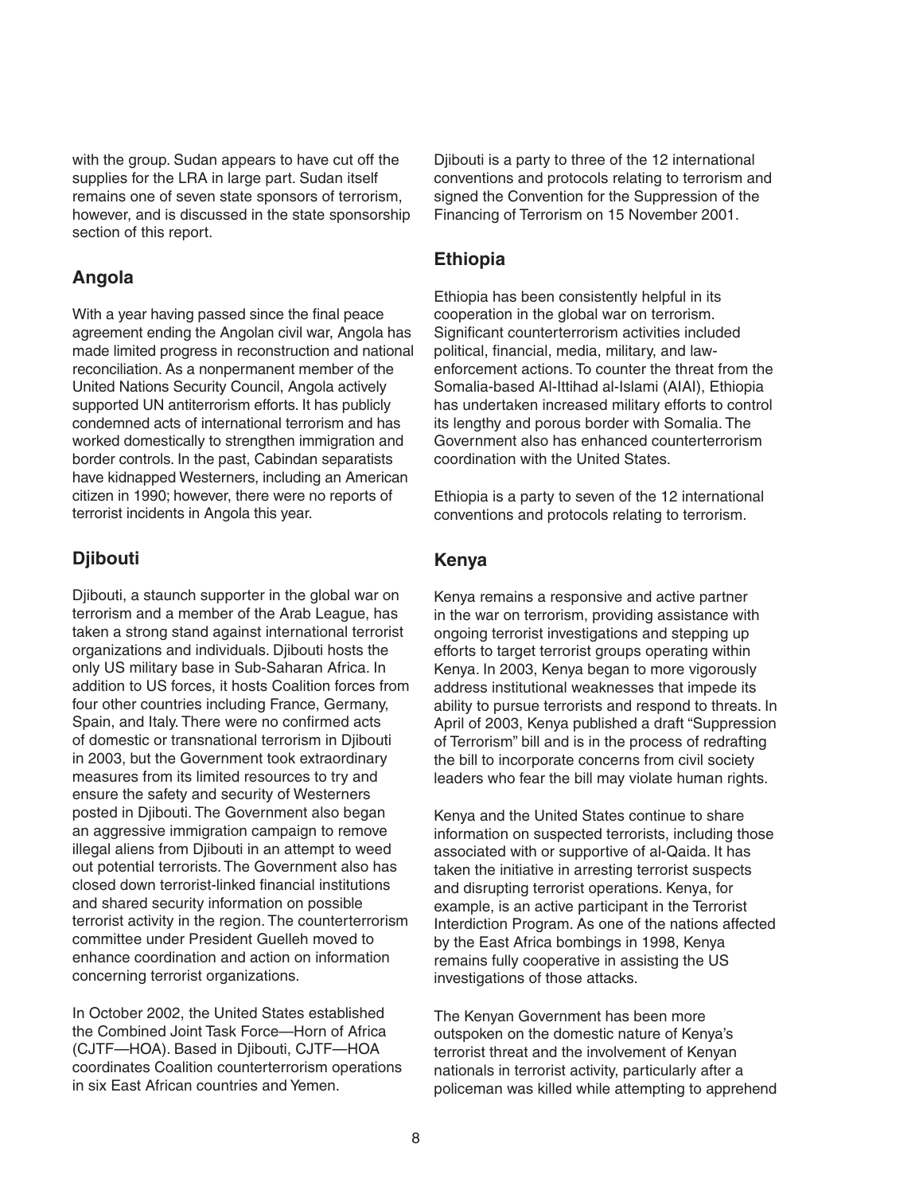with the group. Sudan appears to have cut off the supplies for the LRA in large part. Sudan itself remains one of seven state sponsors of terrorism, however, and is discussed in the state sponsorship section of this report.

### **Angola**

With a year having passed since the final peace agreement ending the Angolan civil war, Angola has made limited progress in reconstruction and national reconciliation. As a nonpermanent member of the United Nations Security Council, Angola actively supported UN antiterrorism efforts. It has publicly condemned acts of international terrorism and has worked domestically to strengthen immigration and border controls. In the past, Cabindan separatists have kidnapped Westerners, including an American citizen in 1990; however, there were no reports of terrorist incidents in Angola this year.

# **Djibouti**

Djibouti, a staunch supporter in the global war on terrorism and a member of the Arab League, has taken a strong stand against international terrorist organizations and individuals. Djibouti hosts the only US military base in Sub-Saharan Africa. In addition to US forces, it hosts Coalition forces from four other countries including France, Germany, Spain, and Italy. There were no confirmed acts of domestic or transnational terrorism in Djibouti in 2003, but the Government took extraordinary measures from its limited resources to try and ensure the safety and security of Westerners posted in Djibouti. The Government also began an aggressive immigration campaign to remove illegal aliens from Djibouti in an attempt to weed out potential terrorists. The Government also has closed down terrorist-linked financial institutions and shared security information on possible terrorist activity in the region. The counterterrorism committee under President Guelleh moved to enhance coordination and action on information concerning terrorist organizations.

In October 2002, the United States established the Combined Joint Task Force—Horn of Africa (CJTF—HOA). Based in Djibouti, CJTF—HOA coordinates Coalition counterterrorism operations in six East African countries and Yemen.

Djibouti is a party to three of the 12 international conventions and protocols relating to terrorism and signed the Convention for the Suppression of the Financing of Terrorism on 15 November 2001.

### **Ethiopia**

Ethiopia has been consistently helpful in its cooperation in the global war on terrorism. Significant counterterrorism activities included political, financial, media, military, and lawenforcement actions. To counter the threat from the Somalia-based Al-Ittihad al-Islami (AIAI), Ethiopia has undertaken increased military efforts to control its lengthy and porous border with Somalia. The Government also has enhanced counterterrorism coordination with the United States.

Ethiopia is a party to seven of the 12 international conventions and protocols relating to terrorism.

#### **Kenya**

Kenya remains a responsive and active partner in the war on terrorism, providing assistance with ongoing terrorist investigations and stepping up efforts to target terrorist groups operating within Kenya. In 2003, Kenya began to more vigorously address institutional weaknesses that impede its ability to pursue terrorists and respond to threats. In April of 2003, Kenya published a draft "Suppression of Terrorism" bill and is in the process of redrafting the bill to incorporate concerns from civil society leaders who fear the bill may violate human rights.

Kenya and the United States continue to share information on suspected terrorists, including those associated with or supportive of al-Qaida. It has taken the initiative in arresting terrorist suspects and disrupting terrorist operations. Kenya, for example, is an active participant in the Terrorist Interdiction Program. As one of the nations affected by the East Africa bombings in 1998, Kenya remains fully cooperative in assisting the US investigations of those attacks.

The Kenyan Government has been more outspoken on the domestic nature of Kenya's terrorist threat and the involvement of Kenyan nationals in terrorist activity, particularly after a policeman was killed while attempting to apprehend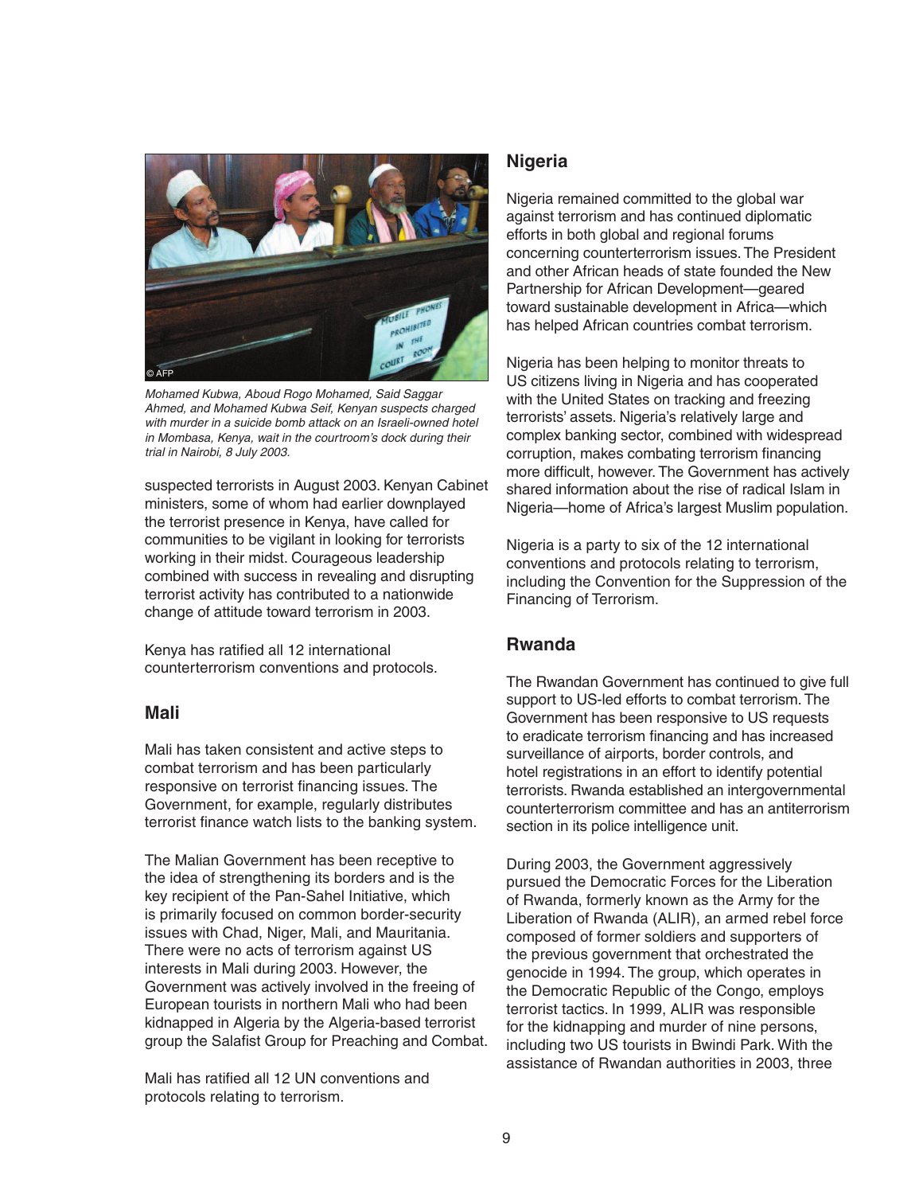

Mohamed Kubwa, Aboud Rogo Mohamed, Said Saggar Ahmed, and Mohamed Kubwa Seif, Kenyan suspects charged with murder in a suicide bomb attack on an Israeli-owned hotel in Mombasa, Kenya, wait in the courtroom's dock during their trial in Nairobi, 8 July 2003.

suspected terrorists in August 2003. Kenyan Cabinet ministers, some of whom had earlier downplayed the terrorist presence in Kenya, have called for communities to be vigilant in looking for terrorists working in their midst. Courageous leadership combined with success in revealing and disrupting terrorist activity has contributed to a nationwide change of attitude toward terrorism in 2003.

Kenya has ratified all 12 international counterterrorism conventions and protocols.

#### **Mali**

Mali has taken consistent and active steps to combat terrorism and has been particularly responsive on terrorist financing issues. The Government, for example, regularly distributes terrorist finance watch lists to the banking system.

The Malian Government has been receptive to the idea of strengthening its borders and is the key recipient of the Pan-Sahel Initiative, which is primarily focused on common border-security issues with Chad, Niger, Mali, and Mauritania. There were no acts of terrorism against US interests in Mali during 2003. However, the Government was actively involved in the freeing of European tourists in northern Mali who had been kidnapped in Algeria by the Algeria-based terrorist group the Salafist Group for Preaching and Combat.

Mali has ratified all 12 UN conventions and protocols relating to terrorism.

#### **Nigeria**

Nigeria remained committed to the global war against terrorism and has continued diplomatic efforts in both global and regional forums concerning counterterrorism issues. The President and other African heads of state founded the New Partnership for African Development—geared toward sustainable development in Africa—which has helped African countries combat terrorism.

Nigeria has been helping to monitor threats to US citizens living in Nigeria and has cooperated with the United States on tracking and freezing terrorists' assets. Nigeria's relatively large and complex banking sector, combined with widespread corruption, makes combating terrorism financing more difficult, however. The Government has actively shared information about the rise of radical Islam in Nigeria—home of Africa's largest Muslim population.

Nigeria is a party to six of the 12 international conventions and protocols relating to terrorism, including the Convention for the Suppression of the Financing of Terrorism.

## **Rwanda**

The Rwandan Government has continued to give full support to US-led efforts to combat terrorism. The Government has been responsive to US requests to eradicate terrorism financing and has increased surveillance of airports, border controls, and hotel registrations in an effort to identify potential terrorists. Rwanda established an intergovernmental counterterrorism committee and has an antiterrorism section in its police intelligence unit.

During 2003, the Government aggressively pursued the Democratic Forces for the Liberation of Rwanda, formerly known as the Army for the Liberation of Rwanda (ALIR), an armed rebel force composed of former soldiers and supporters of the previous government that orchestrated the genocide in 1994. The group, which operates in the Democratic Republic of the Congo, employs terrorist tactics. In 1999, ALIR was responsible for the kidnapping and murder of nine persons, including two US tourists in Bwindi Park. With the assistance of Rwandan authorities in 2003, three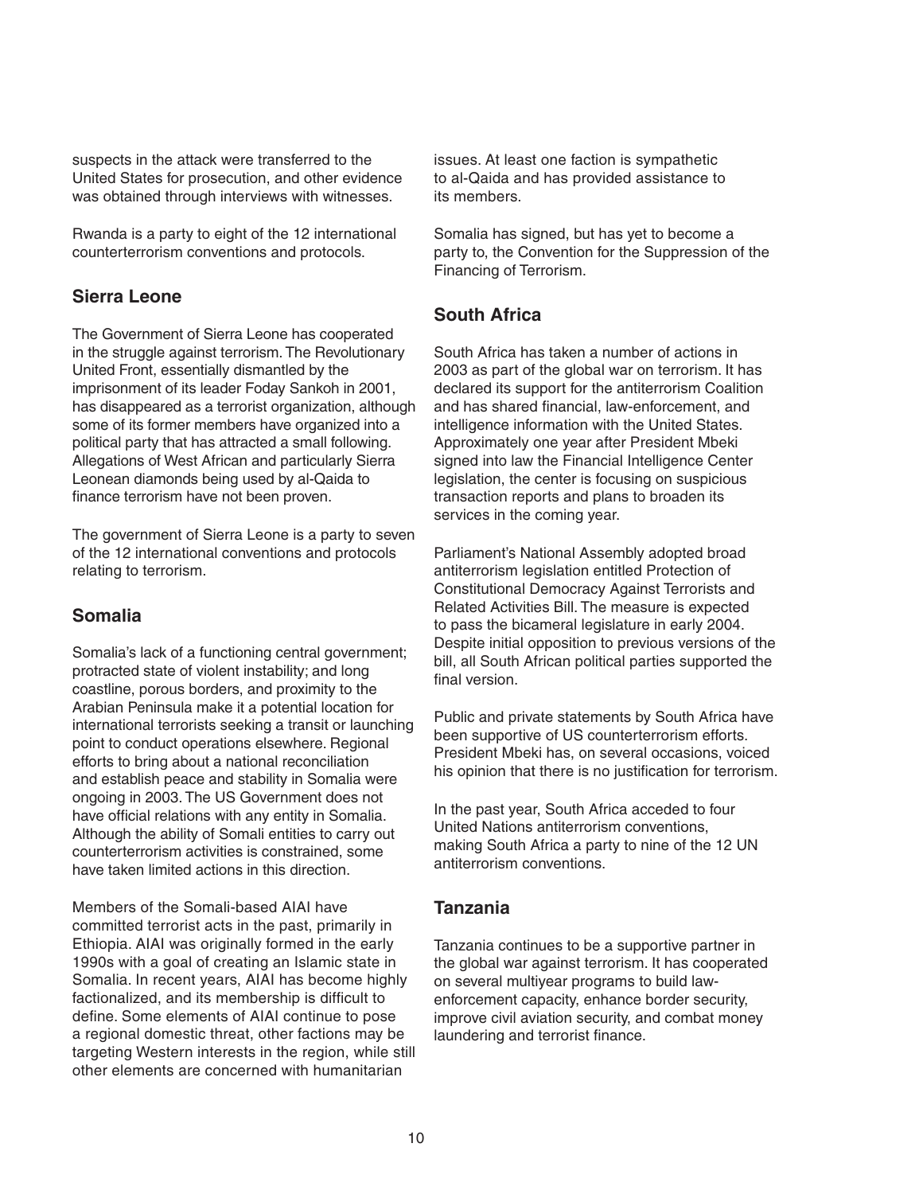suspects in the attack were transferred to the United States for prosecution, and other evidence was obtained through interviews with witnesses.

Rwanda is a party to eight of the 12 international counterterrorism conventions and protocols.

# **Sierra Leone**

The Government of Sierra Leone has cooperated in the struggle against terrorism. The Revolutionary United Front, essentially dismantled by the imprisonment of its leader Foday Sankoh in 2001, has disappeared as a terrorist organization, although some of its former members have organized into a political party that has attracted a small following. Allegations of West African and particularly Sierra Leonean diamonds being used by al-Qaida to finance terrorism have not been proven.

The government of Sierra Leone is a party to seven of the 12 international conventions and protocols relating to terrorism.

# **Somalia**

Somalia's lack of a functioning central government; protracted state of violent instability; and long coastline, porous borders, and proximity to the Arabian Peninsula make it a potential location for international terrorists seeking a transit or launching point to conduct operations elsewhere. Regional efforts to bring about a national reconciliation and establish peace and stability in Somalia were ongoing in 2003. The US Government does not have official relations with any entity in Somalia. Although the ability of Somali entities to carry out counterterrorism activities is constrained, some have taken limited actions in this direction.

Members of the Somali-based AIAI have committed terrorist acts in the past, primarily in Ethiopia. AIAI was originally formed in the early 1990s with a goal of creating an Islamic state in Somalia. In recent years, AIAI has become highly factionalized, and its membership is difficult to define. Some elements of AIAI continue to pose a regional domestic threat, other factions may be targeting Western interests in the region, while still other elements are concerned with humanitarian

issues. At least one faction is sympathetic to al-Qaida and has provided assistance to its members.

Somalia has signed, but has yet to become a party to, the Convention for the Suppression of the Financing of Terrorism.

# **South Africa**

South Africa has taken a number of actions in 2003 as part of the global war on terrorism. It has declared its support for the antiterrorism Coalition and has shared financial, law-enforcement, and intelligence information with the United States. Approximately one year after President Mbeki signed into law the Financial Intelligence Center legislation, the center is focusing on suspicious transaction reports and plans to broaden its services in the coming year.

Parliament's National Assembly adopted broad antiterrorism legislation entitled Protection of Constitutional Democracy Against Terrorists and Related Activities Bill. The measure is expected to pass the bicameral legislature in early 2004. Despite initial opposition to previous versions of the bill, all South African political parties supported the final version.

Public and private statements by South Africa have been supportive of US counterterrorism efforts. President Mbeki has, on several occasions, voiced his opinion that there is no justification for terrorism.

In the past year, South Africa acceded to four United Nations antiterrorism conventions, making South Africa a party to nine of the 12 UN antiterrorism conventions.

## **Tanzania**

Tanzania continues to be a supportive partner in the global war against terrorism. It has cooperated on several multiyear programs to build lawenforcement capacity, enhance border security, improve civil aviation security, and combat money laundering and terrorist finance.